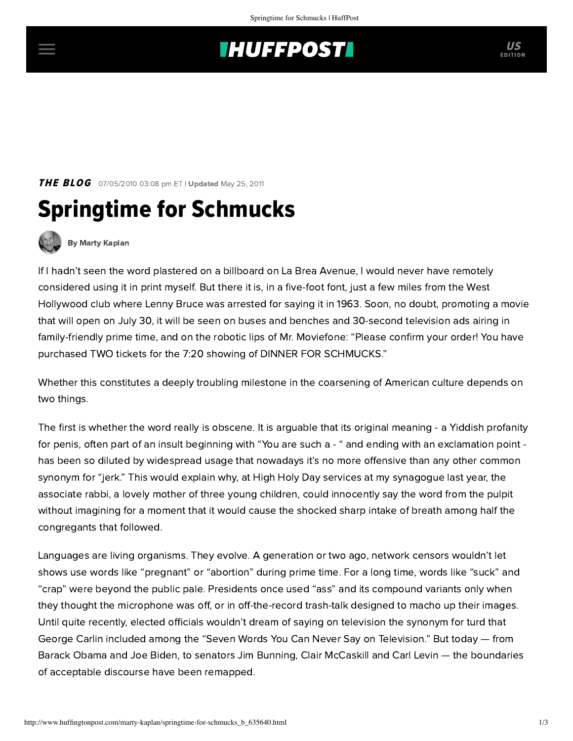## **THUFFPOST**

**THE BLOG** 07/05/2010 03:08 pm ET | Updated May 25, 2011

## Springtime for Schmucks



[By Marty Kaplan](http://www.huffingtonpost.com/author/marty-kaplan)

If I hadn't seen the word plastered on a billboard on La Brea Avenue, I would never have remotely considered using it in print myself. But there it is, in a five-foot font, just a few miles from the West Hollywood club where Lenny Bruce was arrested for saying it in 1963. Soon, no doubt, promoting a movie that will open on July 30, it will be seen on buses and benches and 30-second television ads airing in family-friendly prime time, and on the robotic lips of Mr. Moviefone: "Please confirm your order! You have purchased TWO tickets for the 7:20 showing of DINNER FOR SCHMUCKS."

Whether this constitutes a deeply troubling milestone in the coarsening of American culture depends on two things.

The first is whether the word really is obscene. It is arguable that its original meaning - a Yiddish profanity for penis, often part of an insult beginning with "You are such a - " and ending with an exclamation point has been so diluted by widespread usage that nowadays it's no more offensive than any other common synonym for "jerk." This would explain why, at High Holy Day services at my synagogue last year, the associate rabbi, a lovely mother of three young children, could innocently say the word from the pulpit without imagining for a moment that it would cause the shocked sharp intake of breath among half the congregants that followed.

Languages are living organisms. They evolve. A generation or two ago, network censors wouldn't let shows use words like "pregnant" or "abortion" during prime time. For a long time, words like "suck" and "crap" were beyond the public pale. [Presidents](http://news.yahoo.com/s/ap/20100608/ap_on_go_pr_wh/us_obama_getting_tough) once used "ass" and its [compound variants](http://www.salon.com/news/politics/feature/2000/09/04/cuss_word) only when they thought the microphone was off, or in off-the-record trash-talk designed to macho up their images. Until quite recently, elected officials wouldn't dream of saying on television the synonym for turd that George Carlin included among the "Seven Words You Can Never Say on Television." But today — from Barack Obama and [Joe Biden,](http://www.vanityfair.com/online/daily/2010/06/joe-biden-asked-for-a-frozen-yogurt-not-a-policy-lecture-pal.html) to senators [Jim Bunning](http://www.huffingtonpost.com/2010/02/26/jim-bunning-repeatedly-bl_n_477910.html), [Clair McCaskill and Carl Levin](http://jezebel.com/5525640/senators-claire-mccaskill-and-carl-levin-call-it-like-it-is--shitty) — the boundaries of acceptable discourse have been remapped.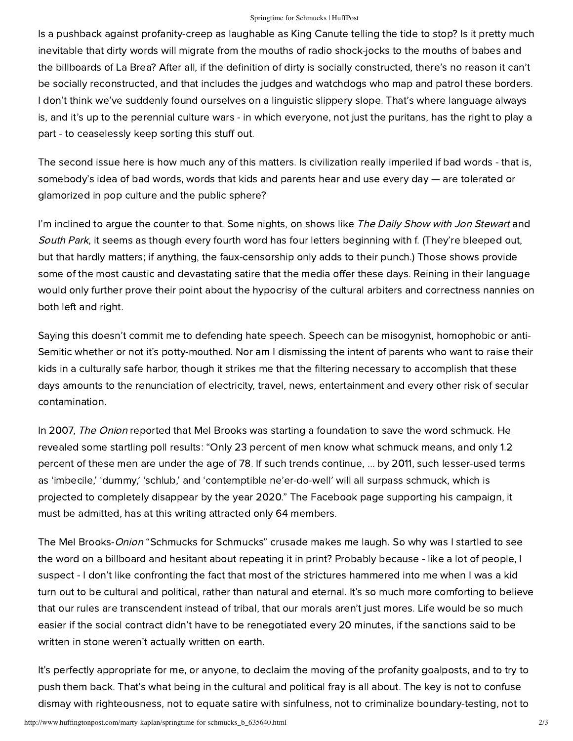## Springtime for Schmucks | HuffPost

Is a pushback against profanity-creep as laughable as King Canute telling the tide to stop? Is it pretty much inevitable that dirty words will migrate from the mouths of radio shock-jocks to the mouths of babes and the billboards of La Brea? After all, if the definition of dirty is socially constructed, there's no reason it can't be socially reconstructed, and that includes the judges and watchdogs who map and patrol these borders. I don't think we've suddenly found ourselves on a linguistic slippery slope. That's where language always is, and it's up to the perennial culture wars - in which everyone, not just the puritans, has the right to play a part - to ceaselessly keep sorting this stuff out.

The second issue here is how much any of this matters. Is civilization really imperiled if bad words - that is, somebody's idea of bad words, words that kids and parents hear and use every day — are tolerated or glamorized in pop culture and the public sphere?

I'm inclined to argue the counter to that. Some nights, on shows like The Daily Show with Jon Stewart and South Park, it seems as though every fourth word has four letters beginning with f. (They're bleeped out, but that hardly matters; if anything, the faux-censorship only adds to their punch.) Those shows provide some of the most caustic and devastating satire that the media offer these days. Reining in their language would only further prove their point about the hypocrisy of the cultural arbiters and correctness nannies on both left and right.

Saying this doesn't commit me to defending hate speech. Speech can be misogynist, homophobic or anti-Semitic whether or not it's potty-mouthed. Nor am I dismissing the intent of parents who want to raise their kids in a culturally safe harbor, though it strikes me that the filtering necessary to accomplish that these days amounts to the renunciation of electricity, travel, news, entertainment and every other risk of secular contamination.

In 2007, The Onion [reported](http://www.theonion.com/articles/mel-brooks-starts-nonprofit-foundation-to-save-wor,2316/) that Mel Brooks was starting a foundation to save the word schmuck. He revealed some startling poll results: "Only 23 percent of men know what schmuck means, and only 1.2 percent of these men are under the age of 78. If such trends continue, ... by 2011, such lesser-used terms as 'imbecile,' 'dummy,' 'schlub,' and 'contemptible ne'er-do-well' will all surpass schmuck, which is projected to completely disappear by the year 2020." The [Facebook page](http://www.facebook.com/group.php?gid=94906113858) supporting his campaign, it must be admitted, has at this writing attracted only 64 members.

The Mel Brooks-Onion "Schmucks for Schmucks" crusade makes me laugh. So why was I startled to see the word on a billboard and hesitant about repeating it in print? Probably because - like a lot of people, I suspect - I don't like confronting the fact that most of the strictures hammered into me when I was a kid turn out to be cultural and political, rather than natural and eternal. It's so much more comforting to believe that our rules are transcendent instead of tribal, that our morals aren't just mores. Life would be so much easier if the social contract didn't have to be renegotiated every 20 minutes, if the sanctions said to be written in stone weren't actually written on earth.

It's perfectly appropriate for me, or anyone, to declaim the moving of the profanity goalposts, and to try to push them back. That's what being in the cultural and political fray is all about. The key is not to confuse dismay with righteousness, not to equate satire with sinfulness, not to criminalize boundary-testing, not to